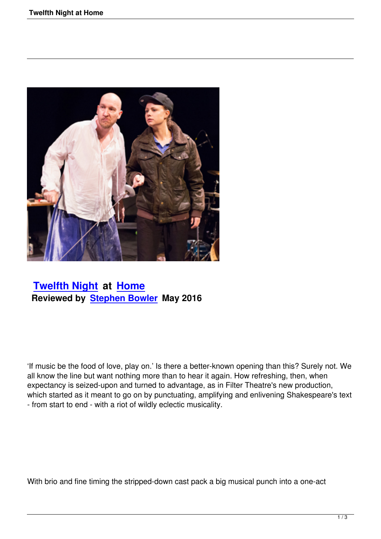

## **Twelfth Night at Home Reviewed by Stephen Bowler May 2016**

'If music be the food of love, play on.' Is there a better-known opening than this? Surely not. We all know the line but want nothing more than to hear it again. How refreshing, then, when expectancy is seized-upon and turned to advantage, as in Filter Theatre's new production, which started as it meant to go on by punctuating, amplifying and enlivening Shakespeare's text - from start to end - with a riot of wildly eclectic musicality.

With brio and fine timing the stripped-down cast pack a big musical punch into a one-act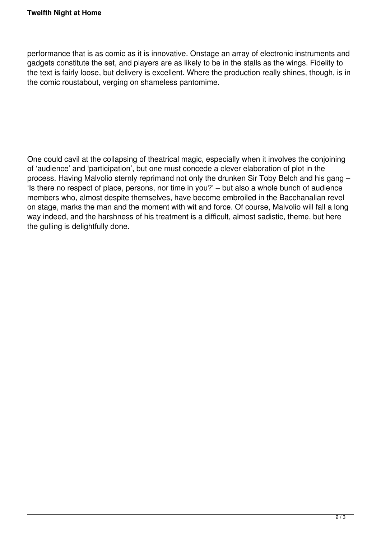performance that is as comic as it is innovative. Onstage an array of electronic instruments and gadgets constitute the set, and players are as likely to be in the stalls as the wings. Fidelity to the text is fairly loose, but delivery is excellent. Where the production really shines, though, is in the comic roustabout, verging on shameless pantomime.

One could cavil at the collapsing of theatrical magic, especially when it involves the conjoining of 'audience' and 'participation', but one must concede a clever elaboration of plot in the process. Having Malvolio sternly reprimand not only the drunken Sir Toby Belch and his gang – 'Is there no respect of place, persons, nor time in you?' – but also a whole bunch of audience members who, almost despite themselves, have become embroiled in the Bacchanalian revel on stage, marks the man and the moment with wit and force. Of course, Malvolio will fall a long way indeed, and the harshness of his treatment is a difficult, almost sadistic, theme, but here the gulling is delightfully done.